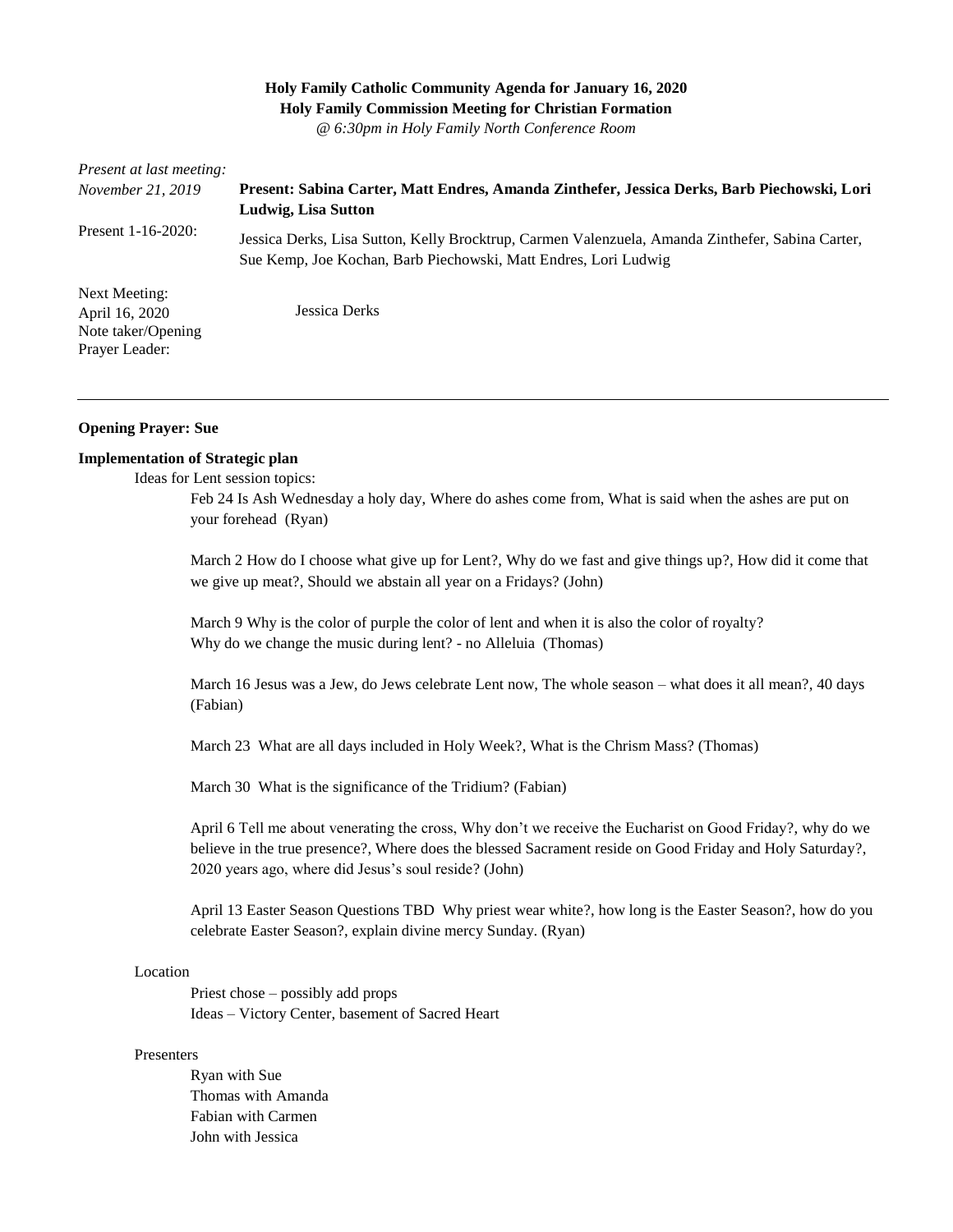# **Holy Family Catholic Community Agenda for January 16, 2020 Holy Family Commission Meeting for Christian Formation**

*@ 6:30pm in Holy Family North Conference Room*

| <i>Present at last meeting:</i>                                         |                                                                                                                                                                     |
|-------------------------------------------------------------------------|---------------------------------------------------------------------------------------------------------------------------------------------------------------------|
| <i>November 21, 2019</i>                                                | Present: Sabina Carter, Matt Endres, Amanda Zinthefer, Jessica Derks, Barb Piechowski, Lori                                                                         |
|                                                                         | Ludwig, Lisa Sutton                                                                                                                                                 |
| Present $1-16-2020$ :                                                   | Jessica Derks, Lisa Sutton, Kelly Brocktrup, Carmen Valenzuela, Amanda Zinthefer, Sabina Carter,<br>Sue Kemp, Joe Kochan, Barb Piechowski, Matt Endres, Lori Ludwig |
| Next Meeting:<br>April 16, 2020<br>Note taker/Opening<br>Prayer Leader: | Jessica Derks                                                                                                                                                       |

#### **Opening Prayer: Sue**

#### **Implementation of Strategic plan**

Ideas for Lent session topics:

Feb 24 Is Ash Wednesday a holy day, Where do ashes come from, What is said when the ashes are put on your forehead (Ryan)

March 2 How do I choose what give up for Lent?, Why do we fast and give things up?, How did it come that we give up meat?, Should we abstain all year on a Fridays? (John)

March 9 Why is the color of purple the color of lent and when it is also the color of royalty? Why do we change the music during lent? - no Alleluia (Thomas)

March 16 Jesus was a Jew, do Jews celebrate Lent now, The whole season – what does it all mean?, 40 days (Fabian)

March 23 What are all days included in Holy Week?, What is the Chrism Mass? (Thomas)

March 30 What is the significance of the Tridium? (Fabian)

April 6 Tell me about venerating the cross, Why don't we receive the Eucharist on Good Friday?, why do we believe in the true presence?, Where does the blessed Sacrament reside on Good Friday and Holy Saturday?, 2020 years ago, where did Jesus's soul reside? (John)

April 13 Easter Season Questions TBD Why priest wear white?, how long is the Easter Season?, how do you celebrate Easter Season?, explain divine mercy Sunday. (Ryan)

#### Location

Priest chose – possibly add props Ideas – Victory Center, basement of Sacred Heart

#### Presenters

Ryan with Sue Thomas with Amanda Fabian with Carmen John with Jessica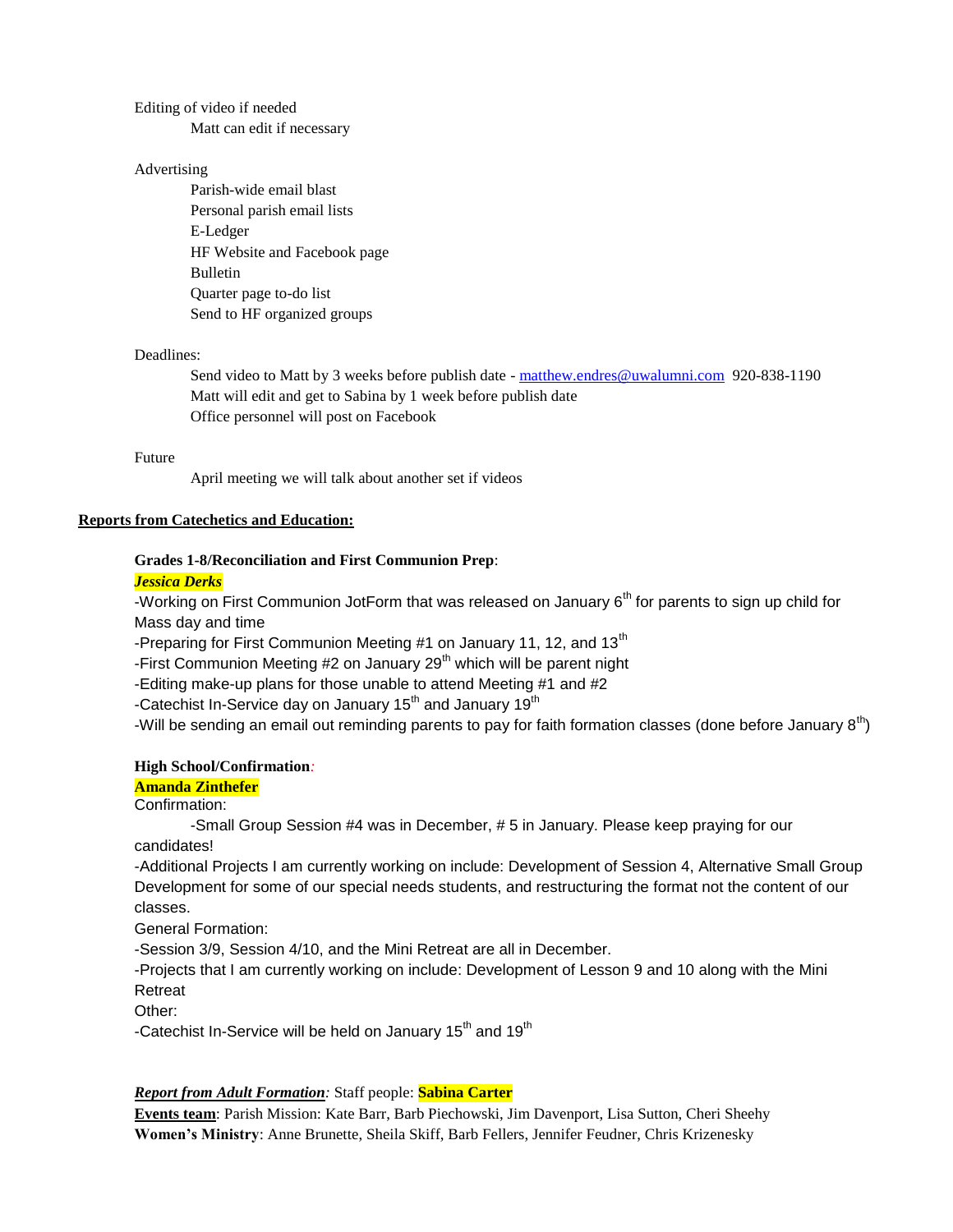#### Editing of video if needed

Matt can edit if necessary

#### Advertising

Parish-wide email blast Personal parish email lists E-Ledger HF Website and Facebook page Bulletin Quarter page to-do list Send to HF organized groups

#### Deadlines:

Send video to Matt by 3 weeks before publish date - [matthew.endres@uwalumni.com](mailto:matthew.endres@uwalumni.com) 920-838-1190 Matt will edit and get to Sabina by 1 week before publish date Office personnel will post on Facebook

#### Future

April meeting we will talk about another set if videos

### **Reports from Catechetics and Education:**

## **Grades 1-8/Reconciliation and First Communion Prep**:

### *Jessica Derks*

-Working on First Communion JotForm that was released on January  $6<sup>th</sup>$  for parents to sign up child for Mass day and time

-Preparing for First Communion Meeting #1 on January 11, 12, and 13<sup>th</sup>

-First Communion Meeting  $#2$  on January  $29<sup>th</sup>$  which will be parent night

-Editing make-up plans for those unable to attend Meeting #1 and #2

-Catechist In-Service day on January  $15<sup>th</sup>$  and January  $19<sup>th</sup>$ 

-Will be sending an email out reminding parents to pay for faith formation classes (done before January  $8<sup>th</sup>$ )

### **High School/Confirmation***:*

**Amanda Zinthefer**

Confirmation:

-Small Group Session #4 was in December, # 5 in January. Please keep praying for our candidates!

-Additional Projects I am currently working on include: Development of Session 4, Alternative Small Group Development for some of our special needs students, and restructuring the format not the content of our classes.

General Formation:

-Session 3/9, Session 4/10, and the Mini Retreat are all in December.

-Projects that I am currently working on include: Development of Lesson 9 and 10 along with the Mini Retreat

Other:

-Catechist In-Service will be held on January 15<sup>th</sup> and 19<sup>th</sup>

### *Report from Adult Formation:* Staff people: **Sabina Carter**

**Events team**: Parish Mission: Kate Barr, Barb Piechowski, Jim Davenport, Lisa Sutton, Cheri Sheehy **Women's Ministry**: Anne Brunette, Sheila Skiff, Barb Fellers, Jennifer Feudner, Chris Krizenesky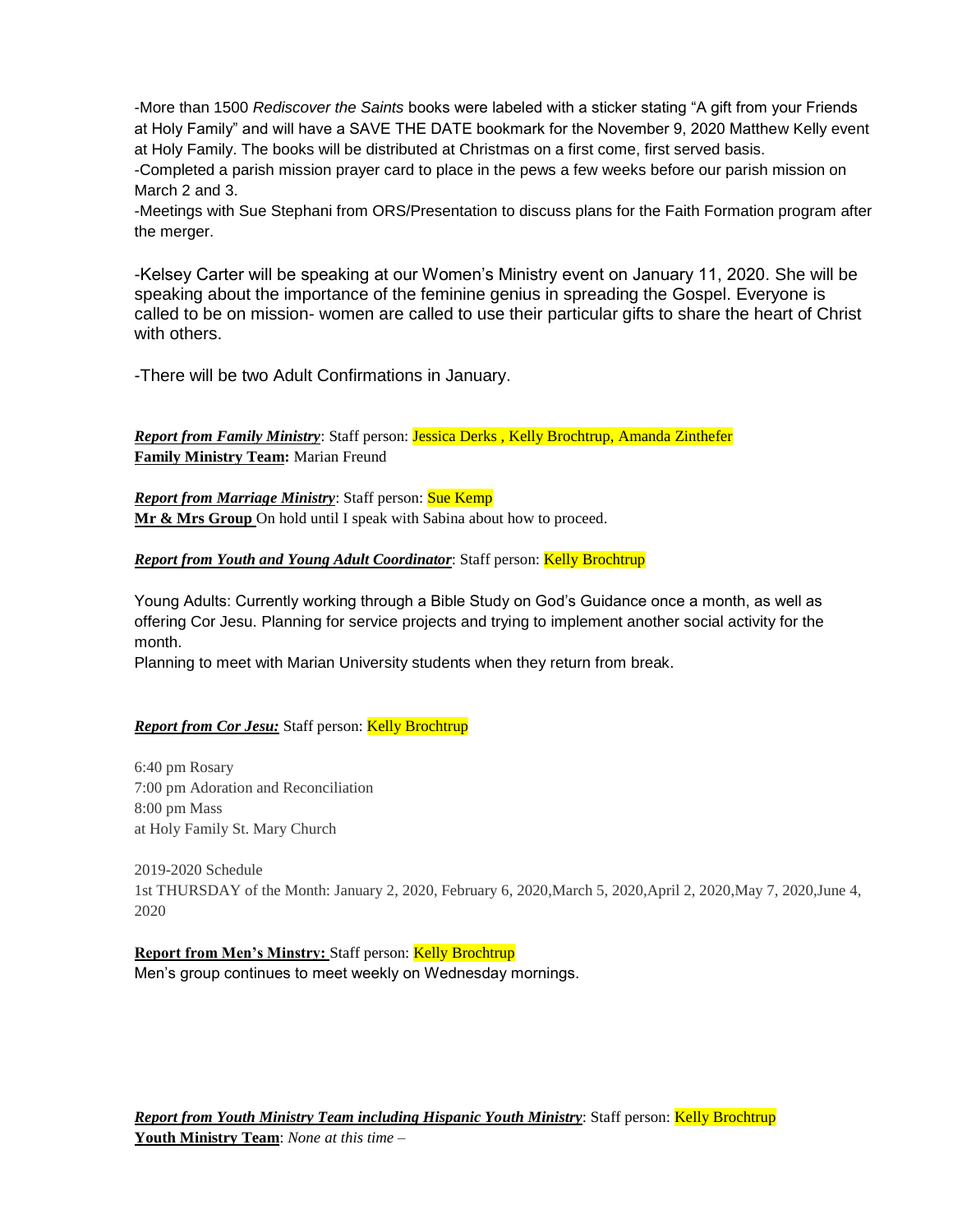-More than 1500 *Rediscover the Saints* books were labeled with a sticker stating "A gift from your Friends at Holy Family" and will have a SAVE THE DATE bookmark for the November 9, 2020 Matthew Kelly event at Holy Family. The books will be distributed at Christmas on a first come, first served basis. -Completed a parish mission prayer card to place in the pews a few weeks before our parish mission on March 2 and 3.

-Meetings with Sue Stephani from ORS/Presentation to discuss plans for the Faith Formation program after the merger.

-Kelsey Carter will be speaking at our Women's Ministry event on January 11, 2020. She will be speaking about the importance of the feminine genius in spreading the Gospel. Everyone is called to be on mission- women are called to use their particular gifts to share the heart of Christ with others.

-There will be two Adult Confirmations in January.

*Report from Family Ministry*: Staff person: Jessica Derks , Kelly Brochtrup, Amanda Zinthefer **Family Ministry Team:** Marian Freund

*Report from Marriage Ministry: Staff person: Sue Kemp* **Mr & Mrs Group** On hold until I speak with Sabina about how to proceed.

*Report from Youth and Young Adult Coordinator: Staff person: Kelly Brochtrup* 

Young Adults: Currently working through a Bible Study on God's Guidance once a month, as well as offering Cor Jesu. Planning for service projects and trying to implement another social activity for the month.

Planning to meet with Marian University students when they return from break.

# **Report from Cor Jesu:** Staff person: Kelly Brochtrup

6:40 pm Rosary 7:00 pm Adoration and Reconciliation 8:00 pm Mass at Holy Family St. Mary Church

2019-2020 Schedule 1st THURSDAY of the Month: January 2, 2020, February 6, 2020,March 5, 2020,April 2, 2020,May 7, 2020,June 4, 2020

**Report from Men's Minstry: Staff person: Kelly Brochtrup** Men's group continues to meet weekly on Wednesday mornings.